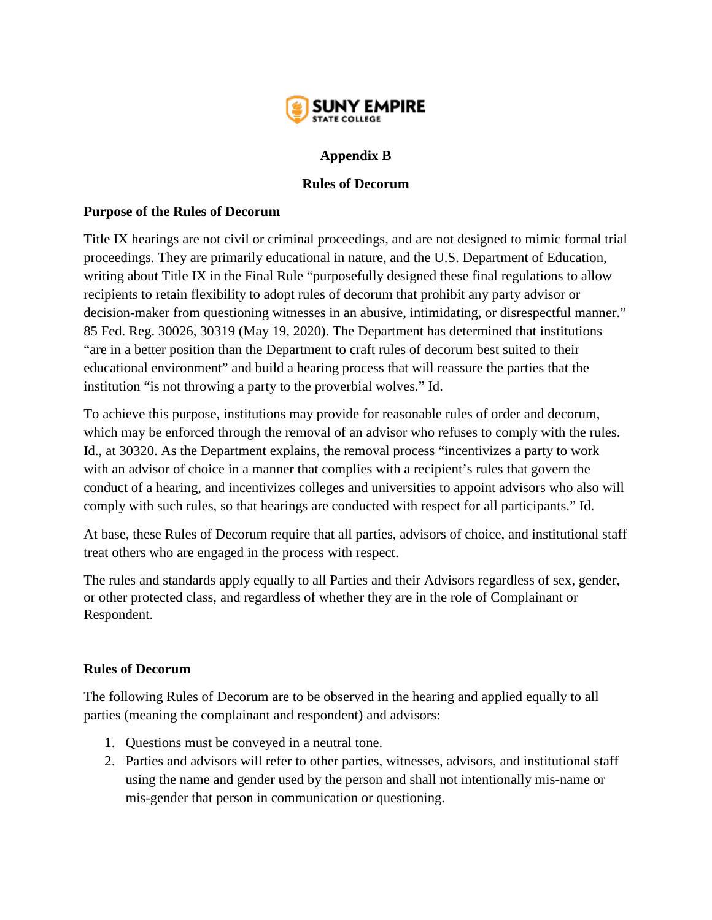

## **Appendix B**

#### **Rules of Decorum**

### **Purpose of the Rules of Decorum**

Title IX hearings are not civil or criminal proceedings, and are not designed to mimic formal trial proceedings. They are primarily educational in nature, and the U.S. Department of Education, writing about Title IX in the Final Rule "purposefully designed these final regulations to allow recipients to retain flexibility to adopt rules of decorum that prohibit any party advisor or decision-maker from questioning witnesses in an abusive, intimidating, or disrespectful manner." 85 Fed. Reg. 30026, 30319 (May 19, 2020). The Department has determined that institutions "are in a better position than the Department to craft rules of decorum best suited to their educational environment" and build a hearing process that will reassure the parties that the institution "is not throwing a party to the proverbial wolves." Id.

To achieve this purpose, institutions may provide for reasonable rules of order and decorum, which may be enforced through the removal of an advisor who refuses to comply with the rules. Id., at 30320. As the Department explains, the removal process "incentivizes a party to work with an advisor of choice in a manner that complies with a recipient's rules that govern the conduct of a hearing, and incentivizes colleges and universities to appoint advisors who also will comply with such rules, so that hearings are conducted with respect for all participants." Id.

At base, these Rules of Decorum require that all parties, advisors of choice, and institutional staff treat others who are engaged in the process with respect.

The rules and standards apply equally to all Parties and their Advisors regardless of sex, gender, or other protected class, and regardless of whether they are in the role of Complainant or Respondent.

### **Rules of Decorum**

The following Rules of Decorum are to be observed in the hearing and applied equally to all parties (meaning the complainant and respondent) and advisors:

- 1. Questions must be conveyed in a neutral tone.
- 2. Parties and advisors will refer to other parties, witnesses, advisors, and institutional staff using the name and gender used by the person and shall not intentionally mis-name or mis-gender that person in communication or questioning.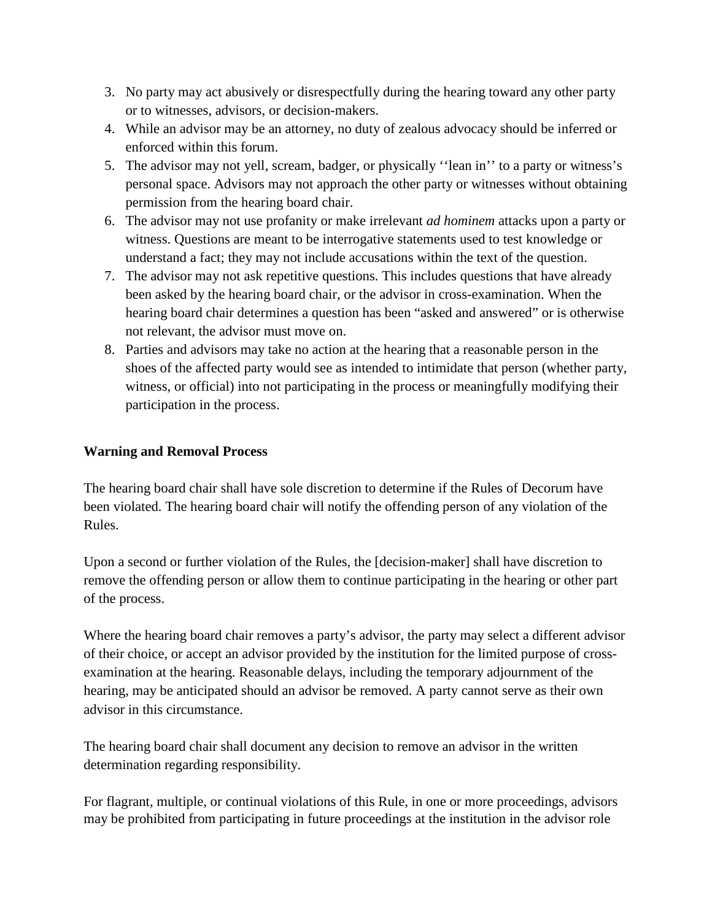- 3. No party may act abusively or disrespectfully during the hearing toward any other party or to witnesses, advisors, or decision-makers.
- 4. While an advisor may be an attorney, no duty of zealous advocacy should be inferred or enforced within this forum.
- 5. The advisor may not yell, scream, badger, or physically ''lean in'' to a party or witness's personal space. Advisors may not approach the other party or witnesses without obtaining permission from the hearing board chair.
- 6. The advisor may not use profanity or make irrelevant *ad hominem* attacks upon a party or witness. Questions are meant to be interrogative statements used to test knowledge or understand a fact; they may not include accusations within the text of the question.
- 7. The advisor may not ask repetitive questions. This includes questions that have already been asked by the hearing board chair, or the advisor in cross-examination. When the hearing board chair determines a question has been "asked and answered" or is otherwise not relevant, the advisor must move on.
- 8. Parties and advisors may take no action at the hearing that a reasonable person in the shoes of the affected party would see as intended to intimidate that person (whether party, witness, or official) into not participating in the process or meaningfully modifying their participation in the process.

# **Warning and Removal Process**

The hearing board chair shall have sole discretion to determine if the Rules of Decorum have been violated. The hearing board chair will notify the offending person of any violation of the Rules.

Upon a second or further violation of the Rules, the [decision-maker] shall have discretion to remove the offending person or allow them to continue participating in the hearing or other part of the process.

Where the hearing board chair removes a party's advisor, the party may select a different advisor of their choice, or accept an advisor provided by the institution for the limited purpose of crossexamination at the hearing. Reasonable delays, including the temporary adjournment of the hearing, may be anticipated should an advisor be removed. A party cannot serve as their own advisor in this circumstance.

The hearing board chair shall document any decision to remove an advisor in the written determination regarding responsibility.

For flagrant, multiple, or continual violations of this Rule, in one or more proceedings, advisors may be prohibited from participating in future proceedings at the institution in the advisor role